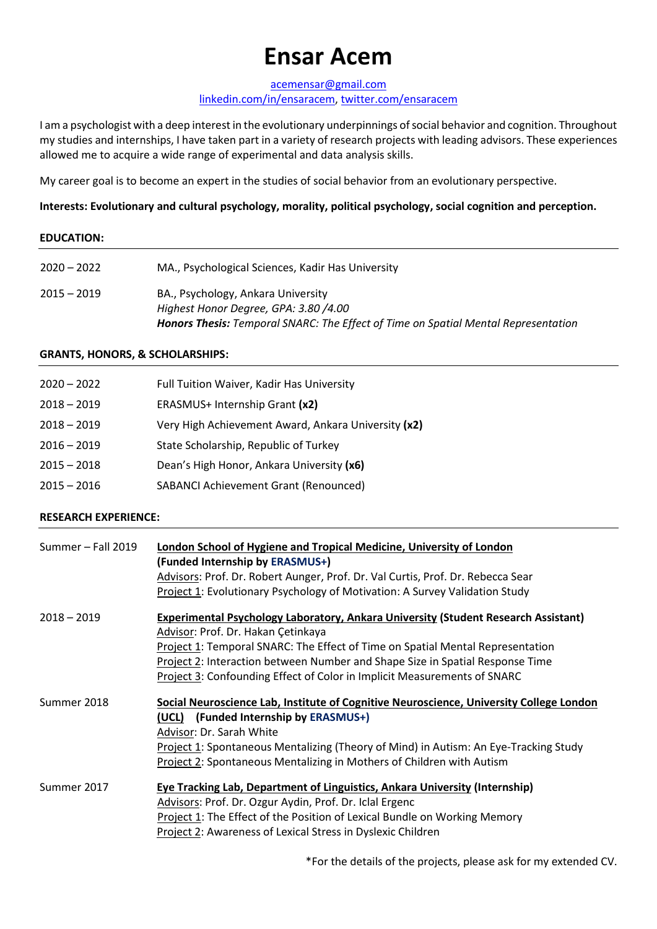# **Ensar Acem**

[acemensar@gmail.com](mailto:acemensar@gmail.com)

#### [linkedin.com/in/ensaracem,](https://www.linkedin.com/in/ensaracem/) [twitter.com/ensaracem](https://twitter.com/ensaracem)

I am a psychologist with a deep interest in the evolutionary underpinnings of social behavior and cognition. Throughout my studies and internships, I have taken part in a variety of research projects with leading advisors. These experiences allowed me to acquire a wide range of experimental and data analysis skills.

My career goal is to become an expert in the studies of social behavior from an evolutionary perspective.

# **Interests: Evolutionary and cultural psychology, morality, political psychology, social cognition and perception.**

## **EDUCATION:**

| $2020 - 2022$ | MA., Psychological Sciences, Kadir Has University                                                                                                                        |
|---------------|--------------------------------------------------------------------------------------------------------------------------------------------------------------------------|
| $2015 - 2019$ | BA., Psychology, Ankara University<br>Highest Honor Degree, GPA: 3.80 /4.00<br><b>Honors Thesis:</b> Temporal SNARC: The Effect of Time on Spatial Mental Representation |

## **GRANTS, HONORS, & SCHOLARSHIPS:**

| $2020 - 2022$ | Full Tuition Waiver, Kadir Has University           |
|---------------|-----------------------------------------------------|
| $2018 - 2019$ | ERASMUS+ Internship Grant (x2)                      |
| $2018 - 2019$ | Very High Achievement Award, Ankara University (x2) |
| $2016 - 2019$ | State Scholarship, Republic of Turkey               |
| $2015 - 2018$ | Dean's High Honor, Ankara University (x6)           |
| $2015 - 2016$ | <b>SABANCI Achievement Grant (Renounced)</b>        |

# **RESEARCH EXPERIENCE:**

| Summer - Fall 2019 | <b>London School of Hygiene and Tropical Medicine, University of London</b><br>(Funded Internship by ERASMUS+)<br>Advisors: Prof. Dr. Robert Aunger, Prof. Dr. Val Curtis, Prof. Dr. Rebecca Sear<br>Project 1: Evolutionary Psychology of Motivation: A Survey Validation Study                                                                                                      |
|--------------------|---------------------------------------------------------------------------------------------------------------------------------------------------------------------------------------------------------------------------------------------------------------------------------------------------------------------------------------------------------------------------------------|
| $2018 - 2019$      | <b>Experimental Psychology Laboratory, Ankara University (Student Research Assistant)</b><br>Advisor: Prof. Dr. Hakan Çetinkaya<br>Project 1: Temporal SNARC: The Effect of Time on Spatial Mental Representation<br>Project 2: Interaction between Number and Shape Size in Spatial Response Time<br><b>Project 3: Confounding Effect of Color in Implicit Measurements of SNARC</b> |
| Summer 2018        | Social Neuroscience Lab, Institute of Cognitive Neuroscience, University College London<br>(UCL) (Funded Internship by ERASMUS+)<br>Advisor: Dr. Sarah White<br>Project 1: Spontaneous Mentalizing (Theory of Mind) in Autism: An Eye-Tracking Study<br>Project 2: Spontaneous Mentalizing in Mothers of Children with Autism                                                         |
| Summer 2017        | <b>Eye Tracking Lab, Department of Linguistics, Ankara University (Internship)</b><br>Advisors: Prof. Dr. Ozgur Aydin, Prof. Dr. Iclal Ergenc<br>Project 1: The Effect of the Position of Lexical Bundle on Working Memory<br>Project 2: Awareness of Lexical Stress in Dyslexic Children                                                                                             |

\*For the details of the projects, please ask for my extended CV.